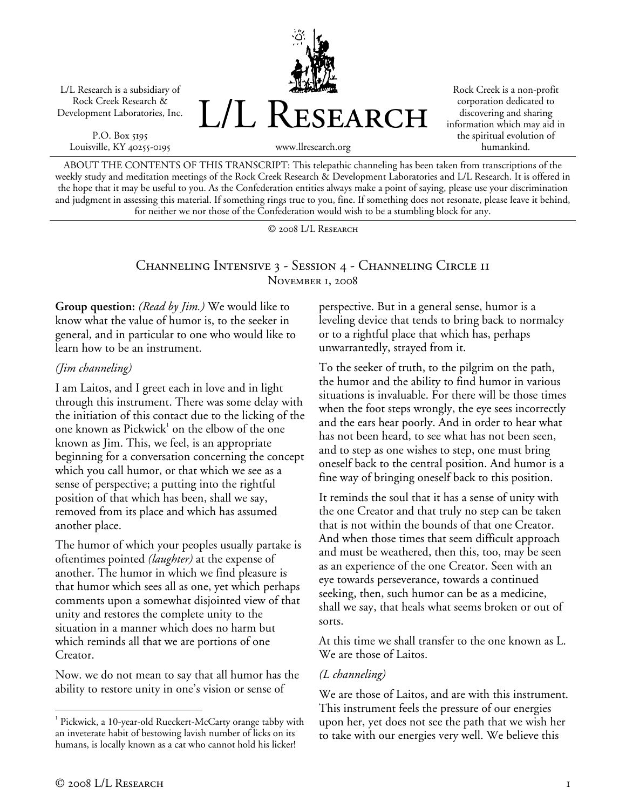L/L Research is a subsidiary of Rock Creek Research & Development Laboratories, Inc.

P.O. Box 5195 Louisville, KY 40255-0195



Rock Creek is a non-profit corporation dedicated to discovering and sharing information which may aid in the spiritual evolution of humankind.

www.llresearch.org

ABOUT THE CONTENTS OF THIS TRANSCRIPT: This telepathic channeling has been taken from transcriptions of the weekly study and meditation meetings of the Rock Creek Research & Development Laboratories and L/L Research. It is offered in the hope that it may be useful to you. As the Confederation entities always make a point of saying, please use your discrimination and judgment in assessing this material. If something rings true to you, fine. If something does not resonate, please leave it behind, for neither we nor those of the Confederation would wish to be a stumbling block for any.

© 2008 L/L Research

### Channeling Intensive 3 - Session 4 - Channeling Circle 11 November 1, 2008

**Group question:** *(Read by Jim.)* We would like to know what the value of humor is, to the seeker in general, and in particular to one who would like to learn how to be an instrument.

#### *(Jim channeling)*

I am Laitos, and I greet each in love and in light through this instrument. There was some delay with the initiation of this contact due to the licking of the one known as Pickwick<sup>1</sup> on the elbow of the one known as Jim. This, we feel, is an appropriate beginning for a conversation concerning the concept which you call humor, or that which we see as a sense of perspective; a putting into the rightful position of that which has been, shall we say, removed from its place and which has assumed another place.

The humor of which your peoples usually partake is oftentimes pointed *(laughter)* at the expense of another. The humor in which we find pleasure is that humor which sees all as one, yet which perhaps comments upon a somewhat disjointed view of that unity and restores the complete unity to the situation in a manner which does no harm but which reminds all that we are portions of one Creator.

Now. we do not mean to say that all humor has the ability to restore unity in one's vision or sense of

perspective. But in a general sense, humor is a leveling device that tends to bring back to normalcy or to a rightful place that which has, perhaps unwarrantedly, strayed from it.

To the seeker of truth, to the pilgrim on the path, the humor and the ability to find humor in various situations is invaluable. For there will be those times when the foot steps wrongly, the eye sees incorrectly and the ears hear poorly. And in order to hear what has not been heard, to see what has not been seen, and to step as one wishes to step, one must bring oneself back to the central position. And humor is a fine way of bringing oneself back to this position.

It reminds the soul that it has a sense of unity with the one Creator and that truly no step can be taken that is not within the bounds of that one Creator. And when those times that seem difficult approach and must be weathered, then this, too, may be seen as an experience of the one Creator. Seen with an eye towards perseverance, towards a continued seeking, then, such humor can be as a medicine, shall we say, that heals what seems broken or out of sorts.

At this time we shall transfer to the one known as L. We are those of Laitos.

## *(L channeling)*

We are those of Laitos, and are with this instrument. This instrument feels the pressure of our energies upon her, yet does not see the path that we wish her to take with our energies very well. We believe this

 $\overline{a}$ <sup>1</sup> Pickwick, a 10-year-old Rueckert-McCarty orange tabby with an inveterate habit of bestowing lavish number of licks on its humans, is locally known as a cat who cannot hold his licker!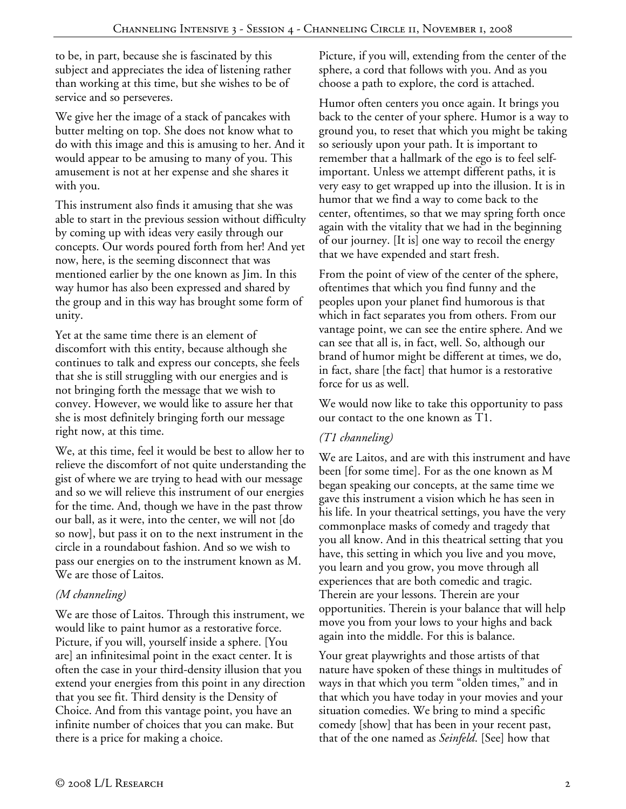to be, in part, because she is fascinated by this subject and appreciates the idea of listening rather than working at this time, but she wishes to be of service and so perseveres.

We give her the image of a stack of pancakes with butter melting on top. She does not know what to do with this image and this is amusing to her. And it would appear to be amusing to many of you. This amusement is not at her expense and she shares it with you.

This instrument also finds it amusing that she was able to start in the previous session without difficulty by coming up with ideas very easily through our concepts. Our words poured forth from her! And yet now, here, is the seeming disconnect that was mentioned earlier by the one known as Jim. In this way humor has also been expressed and shared by the group and in this way has brought some form of unity.

Yet at the same time there is an element of discomfort with this entity, because although she continues to talk and express our concepts, she feels that she is still struggling with our energies and is not bringing forth the message that we wish to convey. However, we would like to assure her that she is most definitely bringing forth our message right now, at this time.

We, at this time, feel it would be best to allow her to relieve the discomfort of not quite understanding the gist of where we are trying to head with our message and so we will relieve this instrument of our energies for the time. And, though we have in the past throw our ball, as it were, into the center, we will not [do so now], but pass it on to the next instrument in the circle in a roundabout fashion. And so we wish to pass our energies on to the instrument known as M. We are those of Laitos.

# *(M channeling)*

We are those of Laitos. Through this instrument, we would like to paint humor as a restorative force. Picture, if you will, yourself inside a sphere. [You are] an infinitesimal point in the exact center. It is often the case in your third-density illusion that you extend your energies from this point in any direction that you see fit. Third density is the Density of Choice. And from this vantage point, you have an infinite number of choices that you can make. But there is a price for making a choice.

Picture, if you will, extending from the center of the sphere, a cord that follows with you. And as you choose a path to explore, the cord is attached.

Humor often centers you once again. It brings you back to the center of your sphere. Humor is a way to ground you, to reset that which you might be taking so seriously upon your path. It is important to remember that a hallmark of the ego is to feel selfimportant. Unless we attempt different paths, it is very easy to get wrapped up into the illusion. It is in humor that we find a way to come back to the center, oftentimes, so that we may spring forth once again with the vitality that we had in the beginning of our journey. [It is] one way to recoil the energy that we have expended and start fresh.

From the point of view of the center of the sphere, oftentimes that which you find funny and the peoples upon your planet find humorous is that which in fact separates you from others. From our vantage point, we can see the entire sphere. And we can see that all is, in fact, well. So, although our brand of humor might be different at times, we do, in fact, share [the fact] that humor is a restorative force for us as well.

We would now like to take this opportunity to pass our contact to the one known as T1.

# *(T1 channeling)*

We are Laitos, and are with this instrument and have been [for some time]. For as the one known as M began speaking our concepts, at the same time we gave this instrument a vision which he has seen in his life. In your theatrical settings, you have the very commonplace masks of comedy and tragedy that you all know. And in this theatrical setting that you have, this setting in which you live and you move, you learn and you grow, you move through all experiences that are both comedic and tragic. Therein are your lessons. Therein are your opportunities. Therein is your balance that will help move you from your lows to your highs and back again into the middle. For this is balance.

Your great playwrights and those artists of that nature have spoken of these things in multitudes of ways in that which you term "olden times," and in that which you have today in your movies and your situation comedies. We bring to mind a specific comedy [show] that has been in your recent past, that of the one named as *Seinfeld*. [See] how that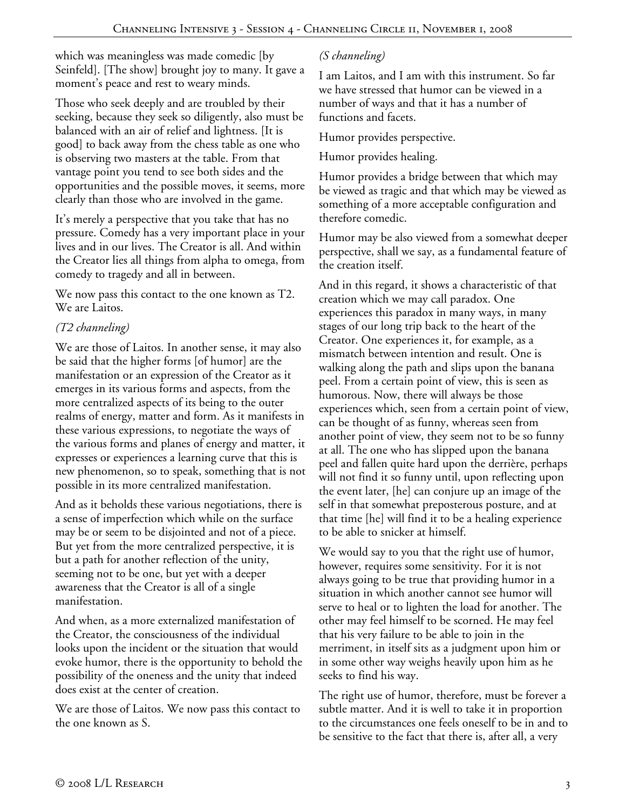which was meaningless was made comedic [by] Seinfeld]. [The show] brought joy to many. It gave a moment's peace and rest to weary minds.

Those who seek deeply and are troubled by their seeking, because they seek so diligently, also must be balanced with an air of relief and lightness. [It is good] to back away from the chess table as one who is observing two masters at the table. From that vantage point you tend to see both sides and the opportunities and the possible moves, it seems, more clearly than those who are involved in the game.

It's merely a perspective that you take that has no pressure. Comedy has a very important place in your lives and in our lives. The Creator is all. And within the Creator lies all things from alpha to omega, from comedy to tragedy and all in between.

We now pass this contact to the one known as T2. We are Laitos.

# *(T2 channeling)*

We are those of Laitos. In another sense, it may also be said that the higher forms [of humor] are the manifestation or an expression of the Creator as it emerges in its various forms and aspects, from the more centralized aspects of its being to the outer realms of energy, matter and form. As it manifests in these various expressions, to negotiate the ways of the various forms and planes of energy and matter, it expresses or experiences a learning curve that this is new phenomenon, so to speak, something that is not possible in its more centralized manifestation.

And as it beholds these various negotiations, there is a sense of imperfection which while on the surface may be or seem to be disjointed and not of a piece. But yet from the more centralized perspective, it is but a path for another reflection of the unity, seeming not to be one, but yet with a deeper awareness that the Creator is all of a single manifestation.

And when, as a more externalized manifestation of the Creator, the consciousness of the individual looks upon the incident or the situation that would evoke humor, there is the opportunity to behold the possibility of the oneness and the unity that indeed does exist at the center of creation.

We are those of Laitos. We now pass this contact to the one known as S.

# *(S channeling)*

I am Laitos, and I am with this instrument. So far we have stressed that humor can be viewed in a number of ways and that it has a number of functions and facets.

Humor provides perspective.

Humor provides healing.

Humor provides a bridge between that which may be viewed as tragic and that which may be viewed as something of a more acceptable configuration and therefore comedic.

Humor may be also viewed from a somewhat deeper perspective, shall we say, as a fundamental feature of the creation itself.

And in this regard, it shows a characteristic of that creation which we may call paradox. One experiences this paradox in many ways, in many stages of our long trip back to the heart of the Creator. One experiences it, for example, as a mismatch between intention and result. One is walking along the path and slips upon the banana peel. From a certain point of view, this is seen as humorous. Now, there will always be those experiences which, seen from a certain point of view, can be thought of as funny, whereas seen from another point of view, they seem not to be so funny at all. The one who has slipped upon the banana peel and fallen quite hard upon the derrière, perhaps will not find it so funny until, upon reflecting upon the event later, [he] can conjure up an image of the self in that somewhat preposterous posture, and at that time [he] will find it to be a healing experience to be able to snicker at himself.

We would say to you that the right use of humor, however, requires some sensitivity. For it is not always going to be true that providing humor in a situation in which another cannot see humor will serve to heal or to lighten the load for another. The other may feel himself to be scorned. He may feel that his very failure to be able to join in the merriment, in itself sits as a judgment upon him or in some other way weighs heavily upon him as he seeks to find his way.

The right use of humor, therefore, must be forever a subtle matter. And it is well to take it in proportion to the circumstances one feels oneself to be in and to be sensitive to the fact that there is, after all, a very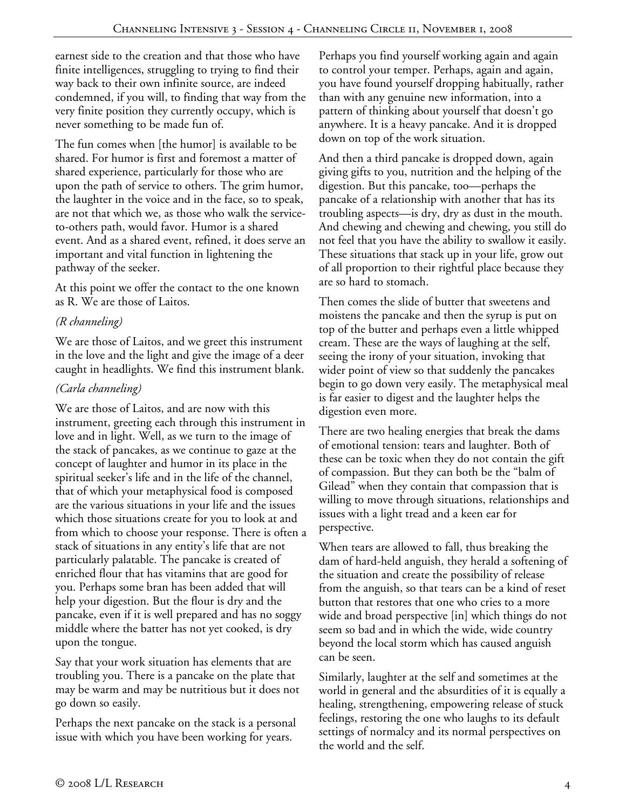earnest side to the creation and that those who have finite intelligences, struggling to trying to find their way back to their own infinite source, are indeed condemned, if you will, to finding that way from the very finite position they currently occupy, which is never something to be made fun of.

The fun comes when [the humor] is available to be shared. For humor is first and foremost a matter of shared experience, particularly for those who are upon the path of service to others. The grim humor, the laughter in the voice and in the face, so to speak, are not that which we, as those who walk the serviceto-others path, would favor. Humor is a shared event. And as a shared event, refined, it does serve an important and vital function in lightening the pathway of the seeker.

At this point we offer the contact to the one known as R. We are those of Laitos.

# *(R channeling)*

We are those of Laitos, and we greet this instrument in the love and the light and give the image of a deer caught in headlights. We find this instrument blank.

# *(Carla channeling)*

We are those of Laitos, and are now with this instrument, greeting each through this instrument in love and in light. Well, as we turn to the image of the stack of pancakes, as we continue to gaze at the concept of laughter and humor in its place in the spiritual seeker's life and in the life of the channel, that of which your metaphysical food is composed are the various situations in your life and the issues which those situations create for you to look at and from which to choose your response. There is often a stack of situations in any entity's life that are not particularly palatable. The pancake is created of enriched flour that has vitamins that are good for you. Perhaps some bran has been added that will help your digestion. But the flour is dry and the pancake, even if it is well prepared and has no soggy middle where the batter has not yet cooked, is dry upon the tongue.

Say that your work situation has elements that are troubling you. There is a pancake on the plate that may be warm and may be nutritious but it does not go down so easily.

Perhaps the next pancake on the stack is a personal issue with which you have been working for years.

Perhaps you find yourself working again and again to control your temper. Perhaps, again and again, you have found yourself dropping habitually, rather than with any genuine new information, into a pattern of thinking about yourself that doesn't go anywhere. It is a heavy pancake. And it is dropped down on top of the work situation.

And then a third pancake is dropped down, again giving gifts to you, nutrition and the helping of the digestion. But this pancake, too—perhaps the pancake of a relationship with another that has its troubling aspects—is dry, dry as dust in the mouth. And chewing and chewing and chewing, you still do not feel that you have the ability to swallow it easily. These situations that stack up in your life, grow out of all proportion to their rightful place because they are so hard to stomach.

Then comes the slide of butter that sweetens and moistens the pancake and then the syrup is put on top of the butter and perhaps even a little whipped cream. These are the ways of laughing at the self, seeing the irony of your situation, invoking that wider point of view so that suddenly the pancakes begin to go down very easily. The metaphysical meal is far easier to digest and the laughter helps the digestion even more.

There are two healing energies that break the dams of emotional tension: tears and laughter. Both of these can be toxic when they do not contain the gift of compassion. But they can both be the "balm of Gilead" when they contain that compassion that is willing to move through situations, relationships and issues with a light tread and a keen ear for perspective.

When tears are allowed to fall, thus breaking the dam of hard-held anguish, they herald a softening of the situation and create the possibility of release from the anguish, so that tears can be a kind of reset button that restores that one who cries to a more wide and broad perspective [in] which things do not seem so bad and in which the wide, wide country beyond the local storm which has caused anguish can be seen.

Similarly, laughter at the self and sometimes at the world in general and the absurdities of it is equally a healing, strengthening, empowering release of stuck feelings, restoring the one who laughs to its default settings of normalcy and its normal perspectives on the world and the self.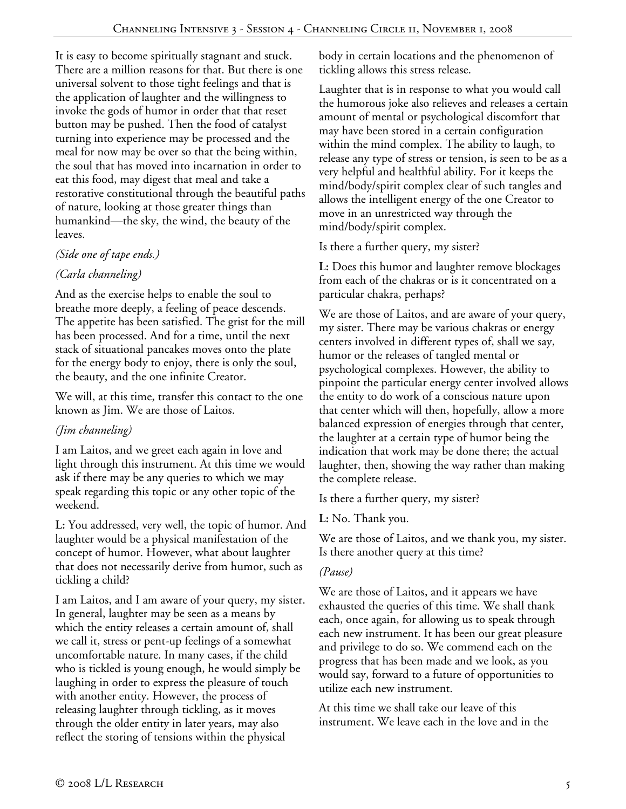It is easy to become spiritually stagnant and stuck. There are a million reasons for that. But there is one universal solvent to those tight feelings and that is the application of laughter and the willingness to invoke the gods of humor in order that that reset button may be pushed. Then the food of catalyst turning into experience may be processed and the meal for now may be over so that the being within, the soul that has moved into incarnation in order to eat this food, may digest that meal and take a restorative constitutional through the beautiful paths of nature, looking at those greater things than humankind—the sky, the wind, the beauty of the leaves.

#### *(Side one of tape ends.)*

## *(Carla channeling)*

And as the exercise helps to enable the soul to breathe more deeply, a feeling of peace descends. The appetite has been satisfied. The grist for the mill has been processed. And for a time, until the next stack of situational pancakes moves onto the plate for the energy body to enjoy, there is only the soul, the beauty, and the one infinite Creator.

We will, at this time, transfer this contact to the one known as Jim. We are those of Laitos.

## *(Jim channeling)*

I am Laitos, and we greet each again in love and light through this instrument. At this time we would ask if there may be any queries to which we may speak regarding this topic or any other topic of the weekend.

**L:** You addressed, very well, the topic of humor. And laughter would be a physical manifestation of the concept of humor. However, what about laughter that does not necessarily derive from humor, such as tickling a child?

I am Laitos, and I am aware of your query, my sister. In general, laughter may be seen as a means by which the entity releases a certain amount of, shall we call it, stress or pent-up feelings of a somewhat uncomfortable nature. In many cases, if the child who is tickled is young enough, he would simply be laughing in order to express the pleasure of touch with another entity. However, the process of releasing laughter through tickling, as it moves through the older entity in later years, may also reflect the storing of tensions within the physical

body in certain locations and the phenomenon of tickling allows this stress release.

Laughter that is in response to what you would call the humorous joke also relieves and releases a certain amount of mental or psychological discomfort that may have been stored in a certain configuration within the mind complex. The ability to laugh, to release any type of stress or tension, is seen to be as a very helpful and healthful ability. For it keeps the mind/body/spirit complex clear of such tangles and allows the intelligent energy of the one Creator to move in an unrestricted way through the mind/body/spirit complex.

Is there a further query, my sister?

**L:** Does this humor and laughter remove blockages from each of the chakras or is it concentrated on a particular chakra, perhaps?

We are those of Laitos, and are aware of your query, my sister. There may be various chakras or energy centers involved in different types of, shall we say, humor or the releases of tangled mental or psychological complexes. However, the ability to pinpoint the particular energy center involved allows the entity to do work of a conscious nature upon that center which will then, hopefully, allow a more balanced expression of energies through that center, the laughter at a certain type of humor being the indication that work may be done there; the actual laughter, then, showing the way rather than making the complete release.

Is there a further query, my sister?

**L:** No. Thank you.

We are those of Laitos, and we thank you, my sister. Is there another query at this time?

## *(Pause)*

We are those of Laitos, and it appears we have exhausted the queries of this time. We shall thank each, once again, for allowing us to speak through each new instrument. It has been our great pleasure and privilege to do so. We commend each on the progress that has been made and we look, as you would say, forward to a future of opportunities to utilize each new instrument.

At this time we shall take our leave of this instrument. We leave each in the love and in the